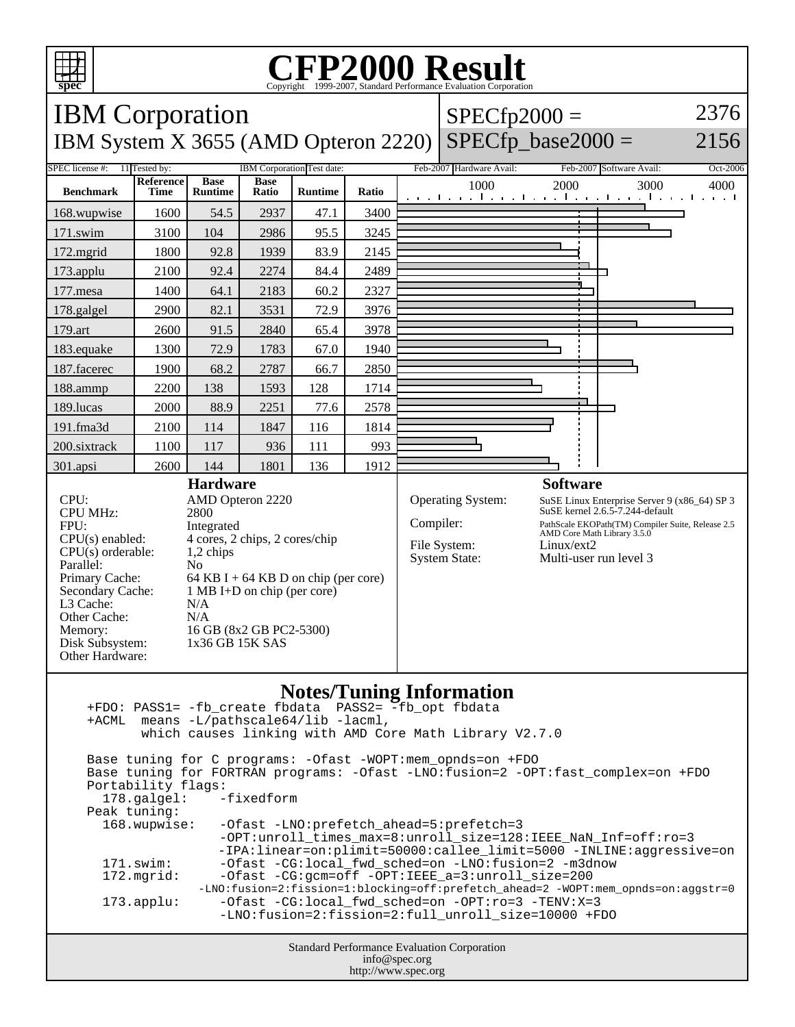

## Copyright ©1999-2007, Standard Performance Evaluation Corporation

| spec<br>Copyright ©1999-2007, Standard Performance Evaluation Corporation                                                             |                          |                               |                      |                            |       |                                                                                               |                          |                 |                                                                                   |          |
|---------------------------------------------------------------------------------------------------------------------------------------|--------------------------|-------------------------------|----------------------|----------------------------|-------|-----------------------------------------------------------------------------------------------|--------------------------|-----------------|-----------------------------------------------------------------------------------|----------|
| <b>IBM</b> Corporation                                                                                                                |                          |                               |                      |                            |       | 2376<br>$SPECfp2000 =$                                                                        |                          |                 |                                                                                   |          |
| IBM System X 3655 (AMD Opteron 2220)                                                                                                  |                          |                               |                      |                            |       |                                                                                               | $SPECfp\_base2000 =$     |                 | 2156                                                                              |          |
| SPEC license #:                                                                                                                       | 11 Tested by:            |                               |                      | IBM Corporation Test date: |       |                                                                                               | Feb-2007 Hardware Avail: |                 | Feb-2007 Software Avail:                                                          | Oct-2006 |
| <b>Benchmark</b>                                                                                                                      | Reference<br><b>Time</b> | <b>Base</b><br><b>Runtime</b> | <b>Base</b><br>Ratio | Runtime                    | Ratio |                                                                                               | 1000                     | 2000            | 3000<br>التعبيلين ويالتينيا وتباريته التعبيلين والتعبيلية                         | 4000     |
| 168.wupwise                                                                                                                           | 1600                     | 54.5                          | 2937                 | 47.1                       | 3400  |                                                                                               |                          |                 |                                                                                   |          |
| 171.swim                                                                                                                              | 3100                     | 104                           | 2986                 | 95.5                       | 3245  |                                                                                               |                          |                 |                                                                                   |          |
| 172.mgrid                                                                                                                             | 1800                     | 92.8                          | 1939                 | 83.9                       | 2145  |                                                                                               |                          |                 |                                                                                   |          |
| 173.applu                                                                                                                             | 2100                     | 92.4                          | 2274                 | 84.4                       | 2489  |                                                                                               |                          |                 |                                                                                   |          |
| 177.mesa                                                                                                                              | 1400                     | 64.1                          | 2183                 | 60.2                       | 2327  |                                                                                               |                          |                 |                                                                                   |          |
| 178.galgel                                                                                                                            | 2900                     | 82.1                          | 3531                 | 72.9                       | 3976  |                                                                                               |                          |                 |                                                                                   |          |
| 179.art                                                                                                                               | 2600                     | 91.5                          | 2840                 | 65.4                       | 3978  |                                                                                               |                          |                 |                                                                                   |          |
| 183.equake                                                                                                                            | 1300                     | 72.9                          | 1783                 | 67.0                       | 1940  |                                                                                               |                          |                 |                                                                                   |          |
| 187.facerec                                                                                                                           | 1900                     | 68.2                          | 2787                 | 66.7                       | 2850  |                                                                                               |                          |                 |                                                                                   |          |
| 188.ammp                                                                                                                              | 2200                     | 138                           | 1593                 | 128                        | 1714  |                                                                                               |                          |                 |                                                                                   |          |
| 189.lucas                                                                                                                             | 2000                     | 88.9                          | 2251                 | 77.6                       | 2578  |                                                                                               |                          |                 |                                                                                   |          |
| 191.fma3d                                                                                                                             | 2100                     | 114                           | 1847                 | 116                        | 1814  |                                                                                               |                          |                 |                                                                                   |          |
| 200.sixtrack                                                                                                                          | 1100                     | 117                           | 936                  | 111                        | 993   |                                                                                               |                          |                 |                                                                                   |          |
| 301.apsi                                                                                                                              | 2600                     | 144                           | 1801                 | 136                        | 1912  |                                                                                               |                          |                 |                                                                                   |          |
| <b>Hardware</b><br>CPU:<br>AMD Opteron 2220                                                                                           |                          |                               |                      |                            |       |                                                                                               | Operating System:        | <b>Software</b> |                                                                                   |          |
| <b>CPU MHz:</b><br>2800                                                                                                               |                          |                               |                      |                            |       | SuSE Linux Enterprise Server 9 (x86_64) SP 3<br>SuSE kernel 2.6.5-7.244-default               |                          |                 |                                                                                   |          |
| FPU:<br>Integrated<br>4 cores, 2 chips, 2 cores/chip<br>$CPU(s)$ enabled:                                                             |                          |                               |                      |                            |       | Compiler:<br>PathScale EKOPath(TM) Compiler Suite, Release 2.5<br>AMD Core Math Library 3.5.0 |                          |                 |                                                                                   |          |
| $CPU(s)$ orderable:<br>1,2 chips                                                                                                      |                          |                               |                      |                            |       |                                                                                               | File System:             | Linux/ext2      |                                                                                   |          |
| Parallel:<br>N <sub>o</sub>                                                                                                           |                          |                               |                      |                            |       |                                                                                               | <b>System State:</b>     |                 | Multi-user run level 3                                                            |          |
| Primary Cache:<br>64 KB I + 64 KB D on chip (per core)<br>Secondary Cache:<br>$1 \text{ MB I+D}$ on chip (per core)                   |                          |                               |                      |                            |       |                                                                                               |                          |                 |                                                                                   |          |
| L3 Cache:<br>N/A                                                                                                                      |                          |                               |                      |                            |       |                                                                                               |                          |                 |                                                                                   |          |
| Other Cache:<br>N/A<br>16 GB (8x2 GB PC2-5300)<br>Memory:                                                                             |                          |                               |                      |                            |       |                                                                                               |                          |                 |                                                                                   |          |
| Disk Subsystem:<br>1x36 GB 15K SAS                                                                                                    |                          |                               |                      |                            |       |                                                                                               |                          |                 |                                                                                   |          |
| Other Hardware:                                                                                                                       |                          |                               |                      |                            |       |                                                                                               |                          |                 |                                                                                   |          |
| <b>Notes/Tuning Information</b>                                                                                                       |                          |                               |                      |                            |       |                                                                                               |                          |                 |                                                                                   |          |
| +ACML means -L/pathscale64/lib -lacml,                                                                                                |                          |                               |                      |                            |       |                                                                                               |                          |                 |                                                                                   |          |
| which causes linking with AMD Core Math Library V2.7.0                                                                                |                          |                               |                      |                            |       |                                                                                               |                          |                 |                                                                                   |          |
| Base tuning for C programs: - Ofast - WOPT: mem_opnds=on + FDO                                                                        |                          |                               |                      |                            |       |                                                                                               |                          |                 |                                                                                   |          |
| Base tuning for FORTRAN programs: - Ofast -LNO: fusion=2 -OPT: fast_complex=on +FDO                                                   |                          |                               |                      |                            |       |                                                                                               |                          |                 |                                                                                   |          |
| Portability flags:<br>-fixedform<br>178.galgel:                                                                                       |                          |                               |                      |                            |       |                                                                                               |                          |                 |                                                                                   |          |
| Peak tuning:                                                                                                                          |                          |                               |                      |                            |       |                                                                                               |                          |                 |                                                                                   |          |
| 168.wupwise:<br>-Ofast -LNO: prefetch_ahead=5: prefetch=3<br>-OPT:unroll_times_max=8:unroll_size=128:IEEE_NaN_Inf=off:ro=3            |                          |                               |                      |                            |       |                                                                                               |                          |                 |                                                                                   |          |
| -IPA:linear=on:plimit=50000:callee_limit=5000 -INLINE:aggressive=on                                                                   |                          |                               |                      |                            |       |                                                                                               |                          |                 |                                                                                   |          |
| $171$ .swim:<br>-Ofast -CG:local_fwd_sched=on -LNO:fusion=2 -m3dnow<br>-Ofast -CG:qcm=off -OPT:IEEE_a=3:unroll_size=200<br>172.mgrid: |                          |                               |                      |                            |       |                                                                                               |                          |                 |                                                                                   |          |
|                                                                                                                                       |                          |                               |                      |                            |       |                                                                                               |                          |                 | -LNO:fusion=2:fission=1:blocking=off:prefetch_ahead=2 -WOPT:mem_opnds=on:aggstr=0 |          |
| -Ofast -CG:local_fwd_sched=on -OPT:ro=3 -TENV:X=3<br>$173.\text{applu}:$<br>-LNO:fusion=2:fission=2:full_unroll_size=10000 +FDO       |                          |                               |                      |                            |       |                                                                                               |                          |                 |                                                                                   |          |
|                                                                                                                                       |                          |                               |                      |                            |       |                                                                                               |                          |                 |                                                                                   |          |

Standard Performance Evaluation Corporation info@spec.org http://www.spec.org